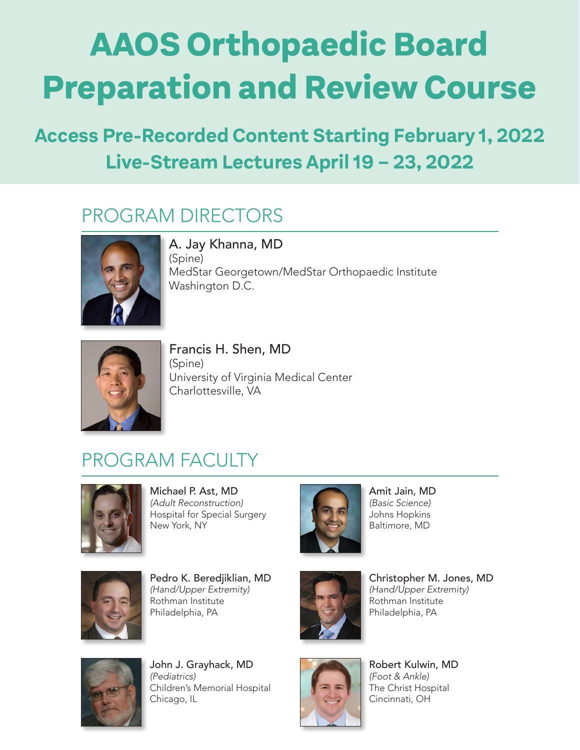# **AAOS Orthopaedic Board Preparation and Review Course**

# Proceduce content otarting rebraary **Access Pre-Recorded Content Starting February 1, 2022**

#### PROGRAM DIRECTORS A. Jay Khanna, MD, FAAOS and Francis H. Shen, MD, FAAOS and Francis H. Shen, MD, F CNO



A. Jay Khanna, MD (Spine) MedStar Georgetown/MedStar Orthopaedic Institute Washington D.C.



Francis H. Shen, MD (Spine) University of Virginia Medical Center Charlottesville, VA

## PROGRAM FACULTY



Michael P. Ast, MD *(Adult Reconstruction)* Hospital for Special Surgery New York, NY



Amit Jain, MD *(Basic Science)* Johns Hopkins Baltimore, MD



**Pedro K. Beredjiklian, MD** Christopher M. Jones, *(Hand/Upper Extremity)* Rothman Institute Philadelphia, PA



Christopher M. Jones, MD *(Hand/Upper Extremity)*  Rothman Institute Philadelphia, PA Philadelphia, PA **Philadelphia, PA** Philadelphia, PA



John J. Grayhack, MD *(Pediatrics)*  Children's Memorial Hospital Chicago, IL



Robert Kulwin, MD *(Foot & Ankle)*  The Christ Hospital Cincinnati, OH